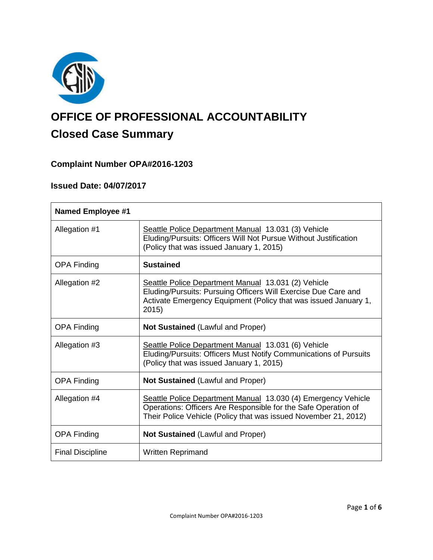

# **OFFICE OF PROFESSIONAL ACCOUNTABILITY Closed Case Summary**

# **Complaint Number OPA#2016-1203**

# **Issued Date: 04/07/2017**

| <b>Named Employee #1</b> |                                                                                                                                                                                                    |
|--------------------------|----------------------------------------------------------------------------------------------------------------------------------------------------------------------------------------------------|
| Allegation #1            | Seattle Police Department Manual 13.031 (3) Vehicle<br>Eluding/Pursuits: Officers Will Not Pursue Without Justification<br>(Policy that was issued January 1, 2015)                                |
| <b>OPA Finding</b>       | <b>Sustained</b>                                                                                                                                                                                   |
| Allegation #2            | Seattle Police Department Manual 13.031 (2) Vehicle<br>Eluding/Pursuits: Pursuing Officers Will Exercise Due Care and<br>Activate Emergency Equipment (Policy that was issued January 1,<br>2015)  |
| <b>OPA Finding</b>       | <b>Not Sustained (Lawful and Proper)</b>                                                                                                                                                           |
| Allegation #3            | Seattle Police Department Manual 13.031 (6) Vehicle<br>Eluding/Pursuits: Officers Must Notify Communications of Pursuits<br>(Policy that was issued January 1, 2015)                               |
| <b>OPA Finding</b>       | <b>Not Sustained (Lawful and Proper)</b>                                                                                                                                                           |
| Allegation #4            | Seattle Police Department Manual 13.030 (4) Emergency Vehicle<br>Operations: Officers Are Responsible for the Safe Operation of<br>Their Police Vehicle (Policy that was issued November 21, 2012) |
| <b>OPA Finding</b>       | <b>Not Sustained (Lawful and Proper)</b>                                                                                                                                                           |
| <b>Final Discipline</b>  | <b>Written Reprimand</b>                                                                                                                                                                           |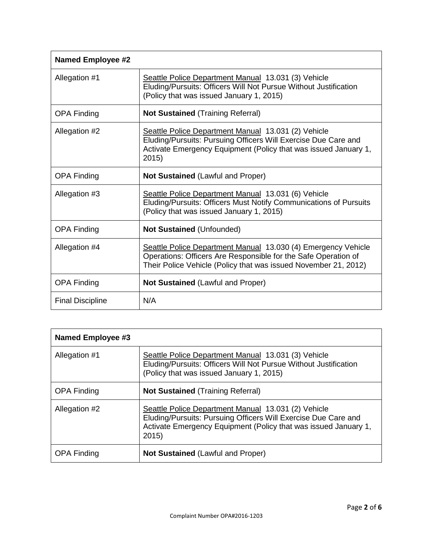| <b>Named Employee #2</b> |                                                                                                                                                                                                    |
|--------------------------|----------------------------------------------------------------------------------------------------------------------------------------------------------------------------------------------------|
| Allegation #1            | Seattle Police Department Manual 13.031 (3) Vehicle<br>Eluding/Pursuits: Officers Will Not Pursue Without Justification<br>(Policy that was issued January 1, 2015)                                |
| <b>OPA Finding</b>       | <b>Not Sustained (Training Referral)</b>                                                                                                                                                           |
| Allegation #2            | Seattle Police Department Manual 13.031 (2) Vehicle<br>Eluding/Pursuits: Pursuing Officers Will Exercise Due Care and<br>Activate Emergency Equipment (Policy that was issued January 1,<br>2015)  |
| <b>OPA Finding</b>       | <b>Not Sustained (Lawful and Proper)</b>                                                                                                                                                           |
| Allegation #3            | Seattle Police Department Manual 13.031 (6) Vehicle<br>Eluding/Pursuits: Officers Must Notify Communications of Pursuits<br>(Policy that was issued January 1, 2015)                               |
| <b>OPA Finding</b>       | <b>Not Sustained (Unfounded)</b>                                                                                                                                                                   |
| Allegation #4            | Seattle Police Department Manual 13.030 (4) Emergency Vehicle<br>Operations: Officers Are Responsible for the Safe Operation of<br>Their Police Vehicle (Policy that was issued November 21, 2012) |
| <b>OPA Finding</b>       | <b>Not Sustained (Lawful and Proper)</b>                                                                                                                                                           |
| <b>Final Discipline</b>  | N/A                                                                                                                                                                                                |

| <b>Named Employee #3</b> |                                                                                                                                                                                                  |  |
|--------------------------|--------------------------------------------------------------------------------------------------------------------------------------------------------------------------------------------------|--|
| Allegation #1            | Seattle Police Department Manual 13.031 (3) Vehicle<br>Eluding/Pursuits: Officers Will Not Pursue Without Justification<br>(Policy that was issued January 1, 2015)                              |  |
| <b>OPA Finding</b>       | <b>Not Sustained (Training Referral)</b>                                                                                                                                                         |  |
| Allegation #2            | Seattle Police Department Manual 13.031 (2) Vehicle<br>Eluding/Pursuits: Pursuing Officers Will Exercise Due Care and<br>Activate Emergency Equipment (Policy that was issued January 1,<br>2015 |  |
| <b>OPA Finding</b>       | <b>Not Sustained (Lawful and Proper)</b>                                                                                                                                                         |  |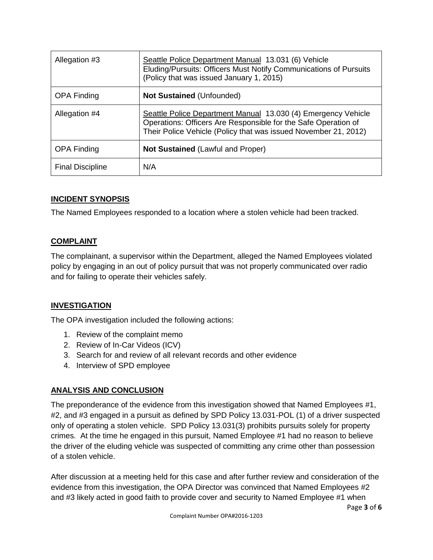| Allegation #3           | Seattle Police Department Manual 13.031 (6) Vehicle<br>Eluding/Pursuits: Officers Must Notify Communications of Pursuits<br>(Policy that was issued January 1, 2015)                               |
|-------------------------|----------------------------------------------------------------------------------------------------------------------------------------------------------------------------------------------------|
| <b>OPA Finding</b>      | Not Sustained (Unfounded)                                                                                                                                                                          |
| Allegation #4           | Seattle Police Department Manual 13.030 (4) Emergency Vehicle<br>Operations: Officers Are Responsible for the Safe Operation of<br>Their Police Vehicle (Policy that was issued November 21, 2012) |
| <b>OPA Finding</b>      | <b>Not Sustained (Lawful and Proper)</b>                                                                                                                                                           |
| <b>Final Discipline</b> | N/A                                                                                                                                                                                                |

# **INCIDENT SYNOPSIS**

The Named Employees responded to a location where a stolen vehicle had been tracked.

### **COMPLAINT**

The complainant, a supervisor within the Department, alleged the Named Employees violated policy by engaging in an out of policy pursuit that was not properly communicated over radio and for failing to operate their vehicles safely.

### **INVESTIGATION**

The OPA investigation included the following actions:

- 1. Review of the complaint memo
- 2. Review of In-Car Videos (ICV)
- 3. Search for and review of all relevant records and other evidence
- 4. Interview of SPD employee

### **ANALYSIS AND CONCLUSION**

The preponderance of the evidence from this investigation showed that Named Employees #1, #2, and #3 engaged in a pursuit as defined by SPD Policy 13.031-POL (1) of a driver suspected only of operating a stolen vehicle. SPD Policy 13.031(3) prohibits pursuits solely for property crimes. At the time he engaged in this pursuit, Named Employee #1 had no reason to believe the driver of the eluding vehicle was suspected of committing any crime other than possession of a stolen vehicle.

After discussion at a meeting held for this case and after further review and consideration of the evidence from this investigation, the OPA Director was convinced that Named Employees #2 and #3 likely acted in good faith to provide cover and security to Named Employee #1 when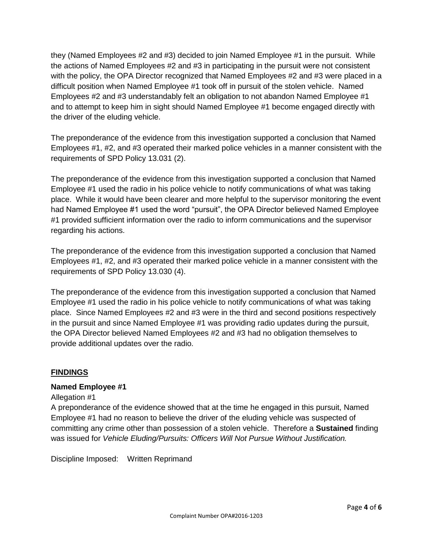they (Named Employees #2 and #3) decided to join Named Employee #1 in the pursuit. While the actions of Named Employees #2 and #3 in participating in the pursuit were not consistent with the policy, the OPA Director recognized that Named Employees #2 and #3 were placed in a difficult position when Named Employee #1 took off in pursuit of the stolen vehicle. Named Employees #2 and #3 understandably felt an obligation to not abandon Named Employee #1 and to attempt to keep him in sight should Named Employee #1 become engaged directly with the driver of the eluding vehicle.

The preponderance of the evidence from this investigation supported a conclusion that Named Employees #1, #2, and #3 operated their marked police vehicles in a manner consistent with the requirements of SPD Policy 13.031 (2).

The preponderance of the evidence from this investigation supported a conclusion that Named Employee #1 used the radio in his police vehicle to notify communications of what was taking place. While it would have been clearer and more helpful to the supervisor monitoring the event had Named Employee #1 used the word "pursuit", the OPA Director believed Named Employee #1 provided sufficient information over the radio to inform communications and the supervisor regarding his actions.

The preponderance of the evidence from this investigation supported a conclusion that Named Employees #1, #2, and #3 operated their marked police vehicle in a manner consistent with the requirements of SPD Policy 13.030 (4).

The preponderance of the evidence from this investigation supported a conclusion that Named Employee #1 used the radio in his police vehicle to notify communications of what was taking place. Since Named Employees #2 and #3 were in the third and second positions respectively in the pursuit and since Named Employee #1 was providing radio updates during the pursuit, the OPA Director believed Named Employees #2 and #3 had no obligation themselves to provide additional updates over the radio.

### **FINDINGS**

### **Named Employee #1**

### Allegation #1

A preponderance of the evidence showed that at the time he engaged in this pursuit, Named Employee #1 had no reason to believe the driver of the eluding vehicle was suspected of committing any crime other than possession of a stolen vehicle. Therefore a **Sustained** finding was issued for *Vehicle Eluding/Pursuits: Officers Will Not Pursue Without Justification.*

Discipline Imposed: Written Reprimand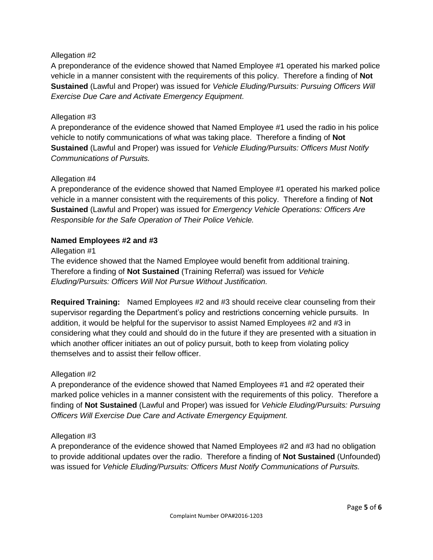### Allegation #2

A preponderance of the evidence showed that Named Employee #1 operated his marked police vehicle in a manner consistent with the requirements of this policy. Therefore a finding of **Not Sustained** (Lawful and Proper) was issued for *Vehicle Eluding/Pursuits: Pursuing Officers Will Exercise Due Care and Activate Emergency Equipment.*

#### Allegation #3

A preponderance of the evidence showed that Named Employee #1 used the radio in his police vehicle to notify communications of what was taking place. Therefore a finding of **Not Sustained** (Lawful and Proper) was issued for *Vehicle Eluding/Pursuits: Officers Must Notify Communications of Pursuits.*

#### Allegation #4

A preponderance of the evidence showed that Named Employee #1 operated his marked police vehicle in a manner consistent with the requirements of this policy. Therefore a finding of **Not Sustained** (Lawful and Proper) was issued for *Emergency Vehicle Operations: Officers Are Responsible for the Safe Operation of Their Police Vehicle.*

#### **Named Employees #2 and #3**

#### Allegation #1

The evidence showed that the Named Employee would benefit from additional training. Therefore a finding of **Not Sustained** (Training Referral) was issued for *Vehicle Eluding/Pursuits: Officers Will Not Pursue Without Justification.*

**Required Training:** Named Employees #2 and #3 should receive clear counseling from their supervisor regarding the Department's policy and restrictions concerning vehicle pursuits. In addition, it would be helpful for the supervisor to assist Named Employees #2 and #3 in considering what they could and should do in the future if they are presented with a situation in which another officer initiates an out of policy pursuit, both to keep from violating policy themselves and to assist their fellow officer.

#### Allegation #2

A preponderance of the evidence showed that Named Employees #1 and #2 operated their marked police vehicles in a manner consistent with the requirements of this policy. Therefore a finding of **Not Sustained** (Lawful and Proper) was issued for *Vehicle Eluding/Pursuits: Pursuing Officers Will Exercise Due Care and Activate Emergency Equipment.*

#### Allegation #3

A preponderance of the evidence showed that Named Employees #2 and #3 had no obligation to provide additional updates over the radio. Therefore a finding of **Not Sustained** (Unfounded) was issued for *Vehicle Eluding/Pursuits: Officers Must Notify Communications of Pursuits.*